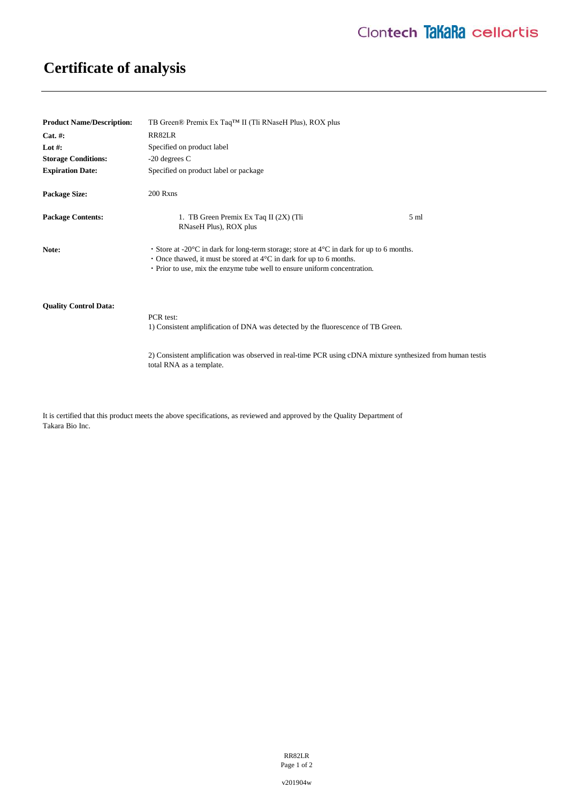## **Certificate of analysis**

| <b>Product Name/Description:</b> | TB Green® Premix Ex Taq <sup>™</sup> II (Tli RNaseH Plus), ROX plus                                                                                                                                                                                                             |                 |
|----------------------------------|---------------------------------------------------------------------------------------------------------------------------------------------------------------------------------------------------------------------------------------------------------------------------------|-----------------|
| $Cat. \#:$                       | RR82LR                                                                                                                                                                                                                                                                          |                 |
| Lot #:                           | Specified on product label                                                                                                                                                                                                                                                      |                 |
| <b>Storage Conditions:</b>       | $-20$ degrees C                                                                                                                                                                                                                                                                 |                 |
| <b>Expiration Date:</b>          | Specified on product label or package                                                                                                                                                                                                                                           |                 |
| <b>Package Size:</b>             | 200 Rxns                                                                                                                                                                                                                                                                        |                 |
| <b>Package Contents:</b>         | 1. TB Green Premix Ex Taq II (2X) (Tli<br>RNaseH Plus), ROX plus                                                                                                                                                                                                                | 5 <sub>ml</sub> |
| Note:                            | • Store at -20 $\degree$ C in dark for long-term storage; store at $4\degree$ C in dark for up to 6 months.<br>$\cdot$ Once thawed, it must be stored at 4 $\degree$ C in dark for up to 6 months.<br>• Prior to use, mix the enzyme tube well to ensure uniform concentration. |                 |
| <b>Ouality Control Data:</b>     | PCR test:<br>1) Consistent amplification of DNA was detected by the fluorescence of TB Green.                                                                                                                                                                                   |                 |
|                                  | 2) Consistent amplification was observed in real-time PCR using cDNA mixture synthesized from human testis                                                                                                                                                                      |                 |

It is certified that this product meets the above specifications, as reviewed and approved by the Quality Department of Takara Bio Inc.

total RNA as a template.

RR82LR Page 1 of 2

v201904w